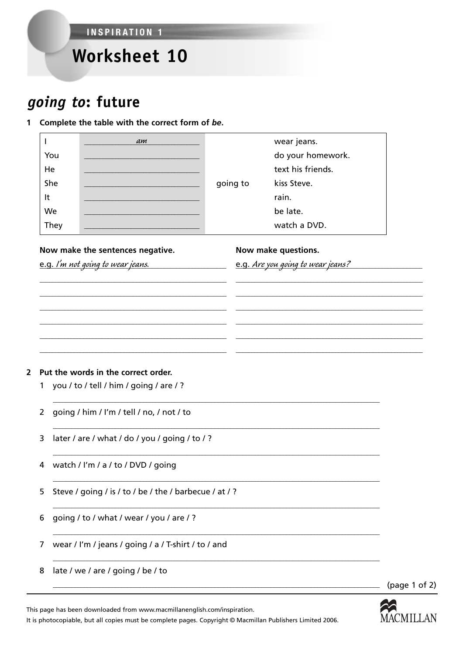

- watch / I'm / a / to / DVD / going  $\overline{4}$
- Steve / going / is / to / be / the / barbecue / at / ? 5
- going / to / what / wear / you / are / ? 6
- wear / I'm / jeans / going / a / T-shirt / to / and  $\overline{7}$
- 8 late / we / are / going / be / to

 $(page 1 of 2)$ 

This page has been downloaded from www.macmillanenglish.com/inspiration.

It is photocopiable, but all copies must be complete pages. Copyright @ Macmillan Publishers Limited 2006.